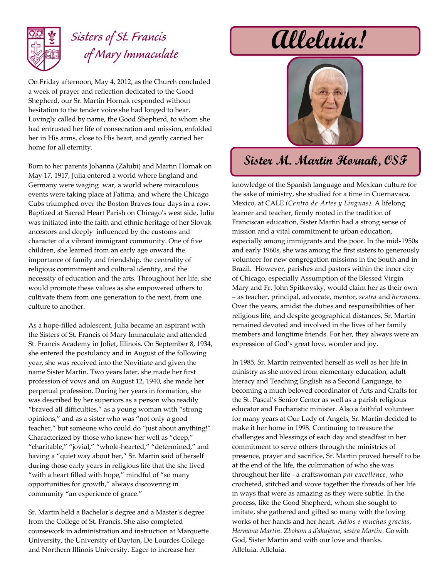

## *Sisters of St. Francis of Mary Immaculate*

On Friday afternoon, May 4, 2012, as the Church concluded a week of prayer and reflection dedicated to the Good Shepherd, our Sr. Martin Hornak responded without hesitation to the tender voice she had longed to hear. Lovingly called by name, the Good Shepherd, to whom she had entrusted her life of consecration and mission, enfolded her in His arms, close to His heart, and gently carried her home for all eternity.

Born to her parents Johanna (Zalubi) and Martin Hornak on May 17, 1917, Julia entered a world where England and Germany were waging war, a world where miraculous events were taking place at Fatima, and where the Chicago Cubs triumphed over the Boston Braves four days in a row. Baptized at Sacred Heart Parish on Chicago's west side, Julia was initiated into the faith and ethnic heritage of her Slovak ancestors and deeply influenced by the customs and character of a vibrant immigrant community. One of five children, she learned from an early age onward the importance of family and friendship, the centrality of religious commitment and cultural identity, and the necessity of education and the arts. Throughout her life, she would promote these values as she empowered others to cultivate them from one generation to the next, from one culture to another.

As a hope-filled adolescent, Julia became an aspirant with the Sisters of St. Francis of Mary Immaculate and attended St. Francis Academy in Joliet, Illinois. On September 8, 1934, she entered the postulancy and in August of the following year, she was received into the Novitiate and given the name Sister Martin. Two years later, she made her first profession of vows and on August 12, 1940, she made her perpetual profession. During her years in formation, she was described by her superiors as a person who readily "braved all difficulties," as a young woman with "strong opinions," and as a sister who was "not only a good teacher," but someone who could do "just about anything!" Characterized by those who knew her well as "deep," "charitable," "jovial," "whole-hearted," "determined," and having a "quiet way about her," Sr. Martin said of herself during those early years in religious life that the she lived "with a heart filled with hope," mindful of "so many opportunities for growth," always discovering in community "an experience of grace."

Sr. Martin held a Bachelor's degree and a Master's degree from the College of St. Francis. She also completed coursework in administration and instruction at Marquette University, the University of Dayton, De Lourdes College and Northern Illinois University. Eager to increase her

# **Alleluia!**



### **Sister M. Martin Hornak, OSF**

knowledge of the Spanish language and Mexican culture for the sake of ministry, she studied for a time in Cuernavaca, Mexico, at CALE *(Centro de Artes y Linguas).* A lifelong learner and teacher, firmly rooted in the tradition of Franciscan education, Sister Martin had a strong sense of mission and a vital commitment to urban education, especially among immigrants and the poor. In the mid-1950s and early 1960s, she was among the first sisters to generously volunteer for new congregation missions in the South and in Brazil. However, parishes and pastors within the inner city of Chicago, especially Assumption of the Blessed Virgin Mary and Fr. John Spitkovsky, would claim her as their own – as teacher, principal, advocate, mentor, *sestra* and *hermana.* Over the years, amidst the duties and responsibilities of her religious life, and despite geographical distances, Sr. Martin remained devoted and involved in the lives of her family members and longtime friends. For her, they always were an expression of God's great love, wonder and joy.

In 1985, Sr. Martin reinvented herself as well as her life in ministry as she moved from elementary education, adult literacy and Teaching English as a Second Language, to becoming a much beloved coordinator of Arts and Crafts for the St. Pascal's Senior Center as well as a parish religious educator and Eucharistic minister. Also a faithful volunteer for many years at Our Lady of Angels, Sr. Martin decided to make it her home in 1998. Continuing to treasure the challenges and blessings of each day and steadfast in her commitment to serve others through the ministries of presence, prayer and sacrifice, Sr. Martin proved herself to be at the end of the life, the culmination of who she was throughout her life - a craftswoman *par excellence*, who crocheted, stitched and wove together the threads of her life in ways that were as amazing as they were subtle. In the process, like the Good Shepherd, whom she sought to imitate, she gathered and gifted so many with the loving works of her hands and her heart. *Adios e muchas gracias, Hermana Martín*. Z*bohom a ďakujeme, sestra Martin*. Go with God, Sister Martin and with our love and thanks. Alleluia. Alleluia.